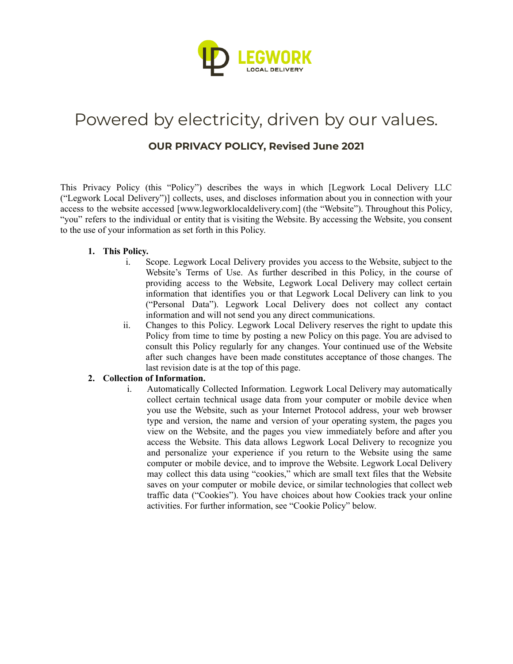

# Powered by electricity, driven by our values.

# **OUR PRIVACY POLICY, Revised June 2021**

This Privacy Policy (this "Policy") describes the ways in which [Legwork Local Delivery LLC ("Legwork Local Delivery")] collects, uses, and discloses information about you in connection with your access to the website accessed [www.legworklocaldelivery.com] (the "Website"). Throughout this Policy, "you" refers to the individual or entity that is visiting the Website. By accessing the Website, you consent to the use of your information as set forth in this Policy.

## **1. This Policy.**

- i. Scope. Legwork Local Delivery provides you access to the Website, subject to the Website's Terms of Use. As further described in this Policy, in the course of providing access to the Website, Legwork Local Delivery may collect certain information that identifies you or that Legwork Local Delivery can link to you ("Personal Data"). Legwork Local Delivery does not collect any contact information and will not send you any direct communications.
- ii. Changes to this Policy. Legwork Local Delivery reserves the right to update this Policy from time to time by posting a new Policy on this page. You are advised to consult this Policy regularly for any changes. Your continued use of the Website after such changes have been made constitutes acceptance of those changes. The last revision date is at the top of this page.

# **2. Collection of Information.**

i. Automatically Collected Information. Legwork Local Delivery may automatically collect certain technical usage data from your computer or mobile device when you use the Website, such as your Internet Protocol address, your web browser type and version, the name and version of your operating system, the pages you view on the Website, and the pages you view immediately before and after you access the Website. This data allows Legwork Local Delivery to recognize you and personalize your experience if you return to the Website using the same computer or mobile device, and to improve the Website. Legwork Local Delivery may collect this data using "cookies," which are small text files that the Website saves on your computer or mobile device, or similar technologies that collect web traffic data ("Cookies"). You have choices about how Cookies track your online activities. For further information, see "Cookie Policy" below.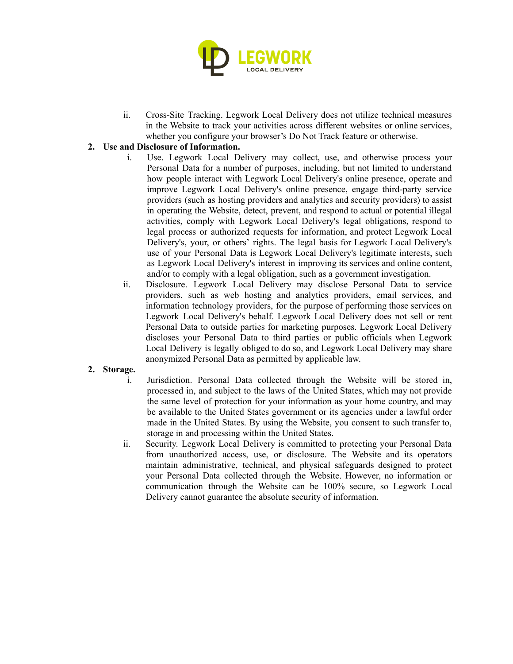

ii. Cross-Site Tracking. Legwork Local Delivery does not utilize technical measures in the Website to track your activities across different websites or online services, whether you configure your browser's Do Not Track feature or otherwise.

# **2. Use and Disclosure of Information.**

- i. Use. Legwork Local Delivery may collect, use, and otherwise process your Personal Data for a number of purposes, including, but not limited to understand how people interact with Legwork Local Delivery's online presence, operate and improve Legwork Local Delivery's online presence, engage third-party service providers (such as hosting providers and analytics and security providers) to assist in operating the Website, detect, prevent, and respond to actual or potential illegal activities, comply with Legwork Local Delivery's legal obligations, respond to legal process or authorized requests for information, and protect Legwork Local Delivery's, your, or others' rights. The legal basis for Legwork Local Delivery's use of your Personal Data is Legwork Local Delivery's legitimate interests, such as Legwork Local Delivery's interest in improving its services and online content, and/or to comply with a legal obligation, such as a government investigation.
- ii. Disclosure. Legwork Local Delivery may disclose Personal Data to service providers, such as web hosting and analytics providers, email services, and information technology providers, for the purpose of performing those services on Legwork Local Delivery's behalf. Legwork Local Delivery does not sell or rent Personal Data to outside parties for marketing purposes. Legwork Local Delivery discloses your Personal Data to third parties or public officials when Legwork Local Delivery is legally obliged to do so, and Legwork Local Delivery may share anonymized Personal Data as permitted by applicable law.

### **2. Storage.**

- i. Jurisdiction. Personal Data collected through the Website will be stored in, processed in, and subject to the laws of the United States, which may not provide the same level of protection for your information as your home country, and may be available to the United States government or its agencies under a lawful order made in the United States. By using the Website, you consent to such transfer to, storage in and processing within the United States.
- ii. Security. Legwork Local Delivery is committed to protecting your Personal Data from unauthorized access, use, or disclosure. The Website and its operators maintain administrative, technical, and physical safeguards designed to protect your Personal Data collected through the Website. However, no information or communication through the Website can be 100% secure, so Legwork Local Delivery cannot guarantee the absolute security of information.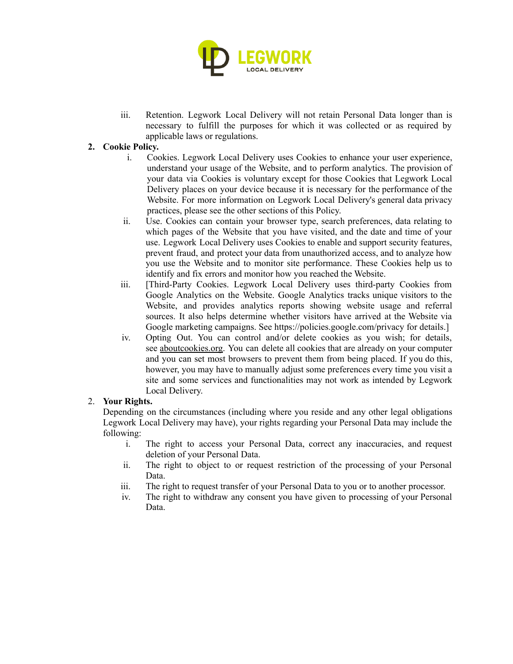

iii. Retention. Legwork Local Delivery will not retain Personal Data longer than is necessary to fulfill the purposes for which it was collected or as required by applicable laws or regulations.

# **2. Cookie Policy.**

- i. Cookies. Legwork Local Delivery uses Cookies to enhance your user experience, understand your usage of the Website, and to perform analytics. The provision of your data via Cookies is voluntary except for those Cookies that Legwork Local Delivery places on your device because it is necessary for the performance of the Website. For more information on Legwork Local Delivery's general data privacy practices, please see the other sections of this Policy.
- ii. Use. Cookies can contain your browser type, search preferences, data relating to which pages of the Website that you have visited, and the date and time of your use. Legwork Local Delivery uses Cookies to enable and support security features, prevent fraud, and protect your data from unauthorized access, and to analyze how you use the Website and to monitor site performance. These Cookies help us to identify and fix errors and monitor how you reached the Website.
- iii. [Third-Party Cookies. Legwork Local Delivery uses third-party Cookies from Google Analytics on the Website. Google Analytics tracks unique visitors to the Website, and provides analytics reports showing website usage and referral sources. It also helps determine whether visitors have arrived at the Website via Google marketing campaigns. See https://policies.google.com/privacy for details.]
- iv. Opting Out. You can control and/or delete cookies as you wish; for details, see [aboutcookies.org.](https://aboutcookies.org/) You can delete all cookies that are already on your computer and you can set most browsers to prevent them from being placed. If you do this, however, you may have to manually adjust some preferences every time you visit a site and some services and functionalities may not work as intended by Legwork Local Delivery.

### 2. **Your Rights.**

Depending on the circumstances (including where you reside and any other legal obligations Legwork Local Delivery may have), your rights regarding your Personal Data may include the following:

- i. The right to access your Personal Data, correct any inaccuracies, and request deletion of your Personal Data.
- ii. The right to object to or request restriction of the processing of your Personal Data.
- iii. The right to request transfer of your Personal Data to you or to another processor.
- iv. The right to withdraw any consent you have given to processing of your Personal Data.